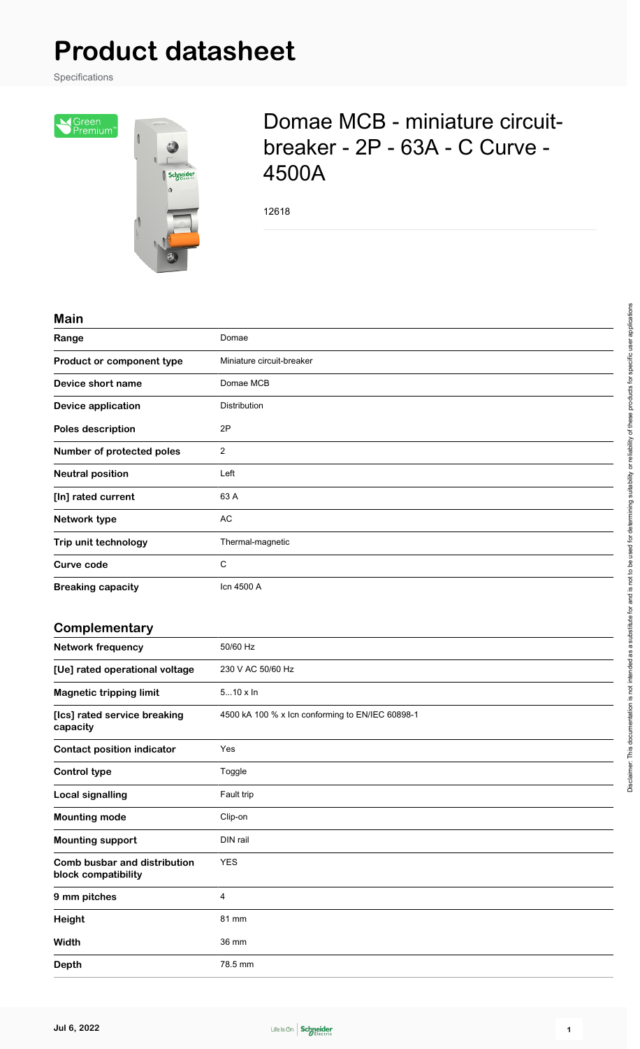## **Product datasheet**

Specifications



## Domae MCB - miniature circuitbreaker - 2P - 63A - C Curve - 4500A

12618

## **Main**

| Range                     | Domae                     |
|---------------------------|---------------------------|
| Product or component type | Miniature circuit-breaker |
| Device short name         | Domae MCB                 |
| <b>Device application</b> | Distribution              |
| Poles description         | 2P                        |
| Number of protected poles | $\overline{2}$            |
| <b>Neutral position</b>   | Left                      |
| [In] rated current        | 63 A                      |
| Network type              | AC                        |
| Trip unit technology      | Thermal-magnetic          |
| Curve code                | C                         |
| <b>Breaking capacity</b>  | Icn 4500 A                |

## **Complementary**

| - - · · · · - · · · · - · · · - · · <i>.</i>        |                                                  |
|-----------------------------------------------------|--------------------------------------------------|
| <b>Network frequency</b>                            | 50/60 Hz                                         |
| [Ue] rated operational voltage                      | 230 V AC 50/60 Hz                                |
| <b>Magnetic tripping limit</b>                      | $510 \times \ln$                                 |
| [Ics] rated service breaking<br>capacity            | 4500 kA 100 % x lcn conforming to EN/IEC 60898-1 |
| <b>Contact position indicator</b>                   | Yes                                              |
| <b>Control type</b>                                 | Toggle                                           |
| <b>Local signalling</b>                             | Fault trip                                       |
| <b>Mounting mode</b>                                | Clip-on                                          |
| <b>Mounting support</b>                             | DIN rail                                         |
| Comb busbar and distribution<br>block compatibility | <b>YES</b>                                       |
| 9 mm pitches                                        | 4                                                |
| Height                                              | 81 mm                                            |
| Width                                               | 36 mm                                            |
| <b>Depth</b>                                        | 78.5 mm                                          |

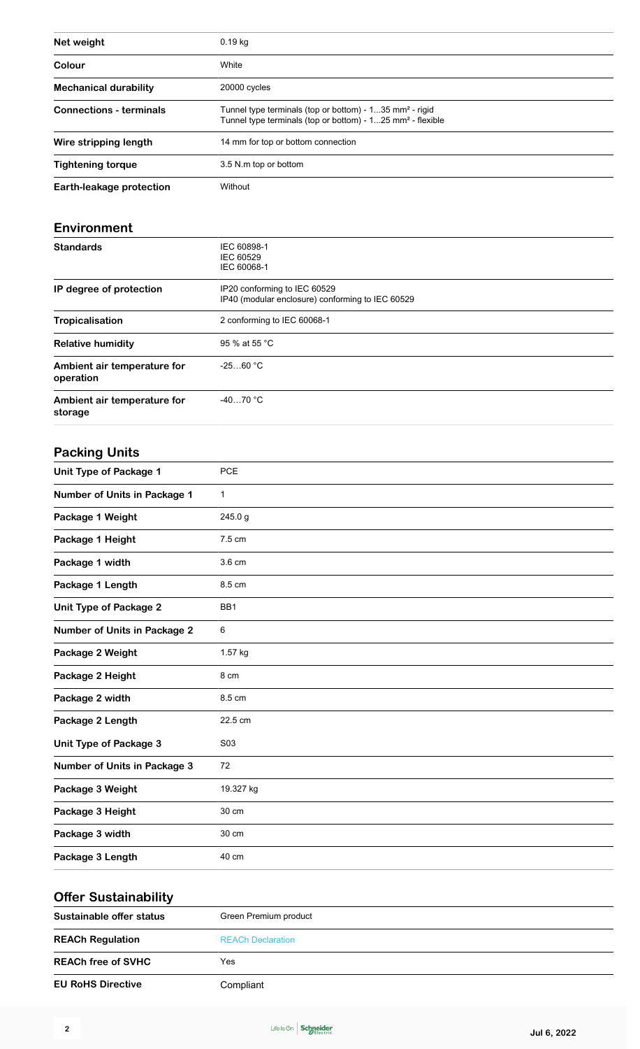| Net weight                               | 0.19 kg                                                                                                                                       |
|------------------------------------------|-----------------------------------------------------------------------------------------------------------------------------------------------|
| Colour                                   | White                                                                                                                                         |
| <b>Mechanical durability</b>             | 20000 cycles                                                                                                                                  |
| <b>Connections - terminals</b>           | Tunnel type terminals (top or bottom) - 135 mm <sup>2</sup> - rigid<br>Tunnel type terminals (top or bottom) - 125 mm <sup>2</sup> - flexible |
| Wire stripping length                    | 14 mm for top or bottom connection                                                                                                            |
| <b>Tightening torque</b>                 | 3.5 N.m top or bottom                                                                                                                         |
| Earth-leakage protection                 | Without                                                                                                                                       |
|                                          |                                                                                                                                               |
| Environment                              |                                                                                                                                               |
| <b>Standards</b>                         | IEC 60898-1<br><b>IEC 60529</b><br>IEC 60068-1                                                                                                |
| IP degree of protection                  | IP20 conforming to IEC 60529<br>IP40 (modular enclosure) conforming to IEC 60529                                                              |
| <b>Tropicalisation</b>                   | 2 conforming to IEC 60068-1                                                                                                                   |
| <b>Relative humidity</b>                 | 95 % at 55 °C                                                                                                                                 |
| Ambient air temperature for<br>operation | $-2560 °C$                                                                                                                                    |
| Ambient air temperature for<br>storage   | $-4070 °C$                                                                                                                                    |
| <b>Packing Units</b>                     |                                                                                                                                               |
| Unit Type of Package 1                   | <b>PCE</b>                                                                                                                                    |
| <b>Number of Units in Package 1</b>      | 1                                                                                                                                             |
| Package 1 Weight                         | 245.0g                                                                                                                                        |
| Package 1 Height                         | 7.5 cm                                                                                                                                        |
| Package 1 width                          | 3.6 cm                                                                                                                                        |
| Package 1 Length                         | 8.5 cm                                                                                                                                        |
| Unit Type of Package 2                   | BB1                                                                                                                                           |
| <b>Number of Units in Package 2</b>      | 6                                                                                                                                             |
| Package 2 Weight                         | 1.57 kg                                                                                                                                       |
| Package 2 Height                         | 8 cm                                                                                                                                          |
| Package 2 width                          | 8.5 cm                                                                                                                                        |
| Package 2 Length                         | 22.5 cm                                                                                                                                       |
| Unit Type of Package 3                   | S03                                                                                                                                           |
| Number of Units in Package 3             | 72                                                                                                                                            |
| Package 3 Weight                         | 19.327 kg                                                                                                                                     |
| Package 3 Height                         | 30 cm                                                                                                                                         |
| Package 3 width                          | 30 cm                                                                                                                                         |
| Package 3 Length                         | 40 cm                                                                                                                                         |

| <b>Offer Sustainability</b> |                          |  |
|-----------------------------|--------------------------|--|
| Sustainable offer status    | Green Premium product    |  |
| <b>REACh Regulation</b>     | <b>REACh Declaration</b> |  |
| <b>REACh free of SVHC</b>   | Yes                      |  |
| <b>EU RoHS Directive</b>    | Compliant                |  |

Life Is On Schneider